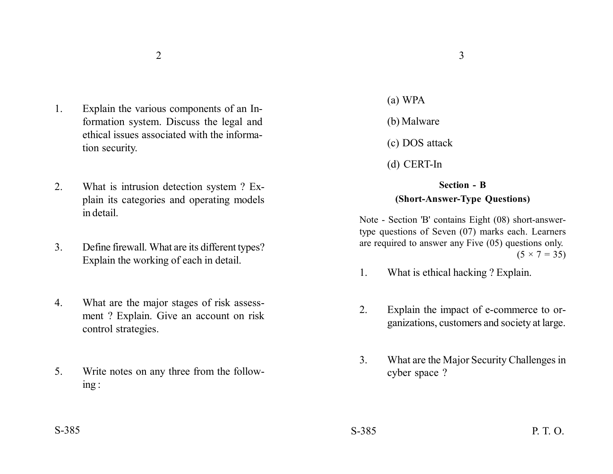- 1. Explain the various components of an Information system. Discuss the legal and ethical issues associated with the information security.
- 2. What is intrusion detection system ? Explain its categories and operating models in detail.
- 3. Define firewall. What are its different types? Explain the working of each in detail.
- 4. What are the major stages of risk assessment ? Explain. Give an account on risk control strategies.
- 5. Write notes on any three from the following :
- 
- (a) WPA
- (b) Malware
- (c) DOS attack
- (d) CERT-In

## **Section - B (Short-Answer-Type Questions)**

Note - Section 'B' contains Eight (08) short-answertype questions of Seven (07) marks each. Learners are required to answer any Five (05) questions only.  $(5 \times 7 = 35)$ 

- 1. What is ethical hacking ? Explain.
- 2. Explain the impact of e-commerce to organizations, customers and society at large.
- 3. What are the Major Security Challenges in cyber space ?